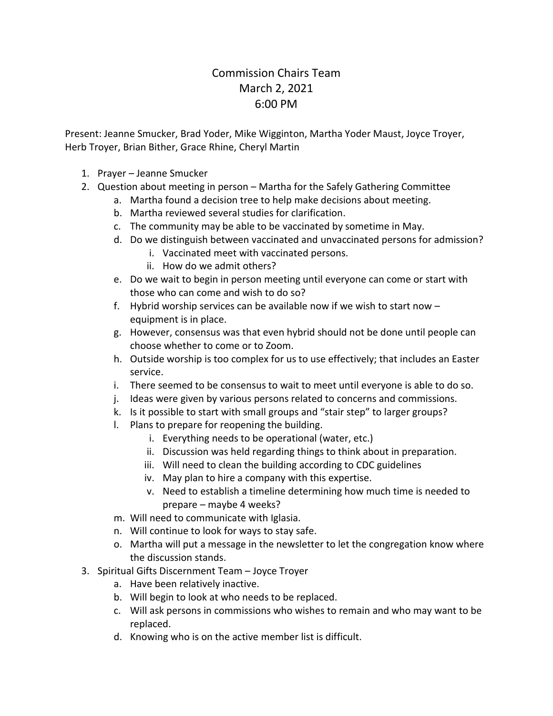## Commission Chairs Team March 2, 2021 6:00 PM

Present: Jeanne Smucker, Brad Yoder, Mike Wigginton, Martha Yoder Maust, Joyce Troyer, Herb Troyer, Brian Bither, Grace Rhine, Cheryl Martin

- 1. Prayer Jeanne Smucker
- 2. Question about meeting in person Martha for the Safely Gathering Committee
	- a. Martha found a decision tree to help make decisions about meeting.
	- b. Martha reviewed several studies for clarification.
	- c. The community may be able to be vaccinated by sometime in May.
	- d. Do we distinguish between vaccinated and unvaccinated persons for admission?
		- i. Vaccinated meet with vaccinated persons.
		- ii. How do we admit others?
	- e. Do we wait to begin in person meeting until everyone can come or start with those who can come and wish to do so?
	- f. Hybrid worship services can be available now if we wish to start now equipment is in place.
	- g. However, consensus was that even hybrid should not be done until people can choose whether to come or to Zoom.
	- h. Outside worship is too complex for us to use effectively; that includes an Easter service.
	- i. There seemed to be consensus to wait to meet until everyone is able to do so.
	- j. Ideas were given by various persons related to concerns and commissions.
	- k. Is it possible to start with small groups and "stair step" to larger groups?
	- l. Plans to prepare for reopening the building.
		- i. Everything needs to be operational (water, etc.)
		- ii. Discussion was held regarding things to think about in preparation.
		- iii. Will need to clean the building according to CDC guidelines
		- iv. May plan to hire a company with this expertise.
		- v. Need to establish a timeline determining how much time is needed to prepare – maybe 4 weeks?
	- m. Will need to communicate with Iglasia.
	- n. Will continue to look for ways to stay safe.
	- o. Martha will put a message in the newsletter to let the congregation know where the discussion stands.
- 3. Spiritual Gifts Discernment Team Joyce Troyer
	- a. Have been relatively inactive.
	- b. Will begin to look at who needs to be replaced.
	- c. Will ask persons in commissions who wishes to remain and who may want to be replaced.
	- d. Knowing who is on the active member list is difficult.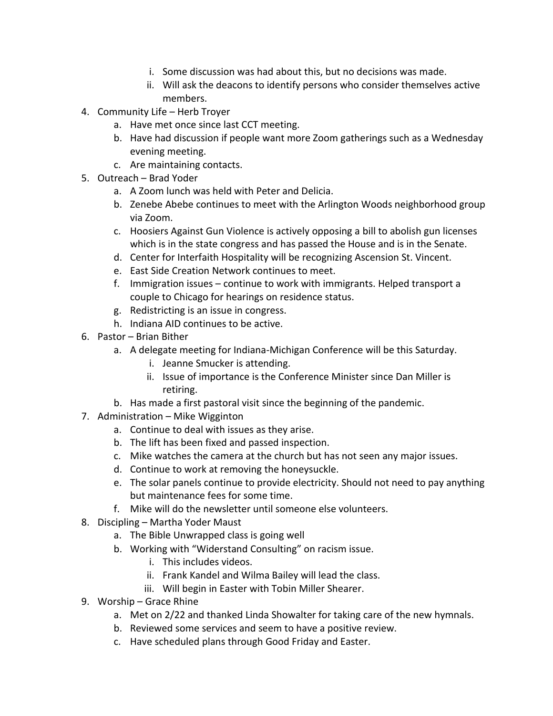- i. Some discussion was had about this, but no decisions was made.
- ii. Will ask the deacons to identify persons who consider themselves active members.
- 4. Community Life Herb Troyer
	- a. Have met once since last CCT meeting.
	- b. Have had discussion if people want more Zoom gatherings such as a Wednesday evening meeting.
	- c. Are maintaining contacts.
- 5. Outreach Brad Yoder
	- a. A Zoom lunch was held with Peter and Delicia.
	- b. Zenebe Abebe continues to meet with the Arlington Woods neighborhood group via Zoom.
	- c. Hoosiers Against Gun Violence is actively opposing a bill to abolish gun licenses which is in the state congress and has passed the House and is in the Senate.
	- d. Center for Interfaith Hospitality will be recognizing Ascension St. Vincent.
	- e. East Side Creation Network continues to meet.
	- f. Immigration issues continue to work with immigrants. Helped transport a couple to Chicago for hearings on residence status.
	- g. Redistricting is an issue in congress.
	- h. Indiana AID continues to be active.
- 6. Pastor Brian Bither
	- a. A delegate meeting for Indiana-Michigan Conference will be this Saturday.
		- i. Jeanne Smucker is attending.
		- ii. Issue of importance is the Conference Minister since Dan Miller is retiring.
	- b. Has made a first pastoral visit since the beginning of the pandemic.
- 7. Administration Mike Wigginton
	- a. Continue to deal with issues as they arise.
	- b. The lift has been fixed and passed inspection.
	- c. Mike watches the camera at the church but has not seen any major issues.
	- d. Continue to work at removing the honeysuckle.
	- e. The solar panels continue to provide electricity. Should not need to pay anything but maintenance fees for some time.
	- f. Mike will do the newsletter until someone else volunteers.
- 8. Discipling Martha Yoder Maust
	- a. The Bible Unwrapped class is going well
	- b. Working with "Widerstand Consulting" on racism issue.
		- i. This includes videos.
		- ii. Frank Kandel and Wilma Bailey will lead the class.
		- iii. Will begin in Easter with Tobin Miller Shearer.
- 9. Worship Grace Rhine
	- a. Met on 2/22 and thanked Linda Showalter for taking care of the new hymnals.
	- b. Reviewed some services and seem to have a positive review.
	- c. Have scheduled plans through Good Friday and Easter.